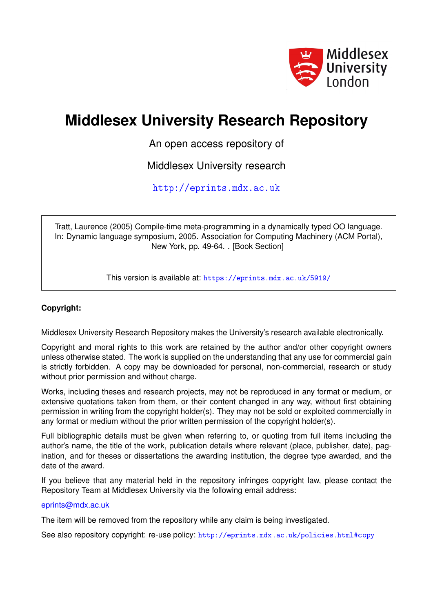

# **Middlesex University Research Repository**

An open access repository of

Middlesex University research

<http://eprints.mdx.ac.uk>

Tratt, Laurence (2005) Compile-time meta-programming in a dynamically typed OO language. In: Dynamic language symposium, 2005. Association for Computing Machinery (ACM Portal), New York, pp. 49-64. . [Book Section]

This version is available at: <https://eprints.mdx.ac.uk/5919/>

## **Copyright:**

Middlesex University Research Repository makes the University's research available electronically.

Copyright and moral rights to this work are retained by the author and/or other copyright owners unless otherwise stated. The work is supplied on the understanding that any use for commercial gain is strictly forbidden. A copy may be downloaded for personal, non-commercial, research or study without prior permission and without charge.

Works, including theses and research projects, may not be reproduced in any format or medium, or extensive quotations taken from them, or their content changed in any way, without first obtaining permission in writing from the copyright holder(s). They may not be sold or exploited commercially in any format or medium without the prior written permission of the copyright holder(s).

Full bibliographic details must be given when referring to, or quoting from full items including the author's name, the title of the work, publication details where relevant (place, publisher, date), pagination, and for theses or dissertations the awarding institution, the degree type awarded, and the date of the award.

If you believe that any material held in the repository infringes copyright law, please contact the Repository Team at Middlesex University via the following email address:

## [eprints@mdx.ac.uk](mailto:eprints@mdx.ac.uk)

The item will be removed from the repository while any claim is being investigated.

See also repository copyright: re-use policy: <http://eprints.mdx.ac.uk/policies.html#copy>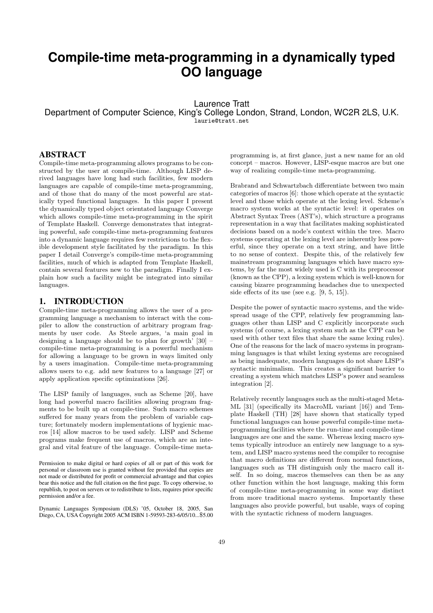## **Compile-time meta-programming in a dynamically typed OO language**

Laurence Tratt

Department of Computer Science, King's College London, Strand, London, WC2R 2LS, U.K. laurie@tratt.net

## ABSTRACT

Compile-time meta-programming allows programs to be constructed by the user at compile-time. Although LISP derived languages have long had such facilities, few modern languages are capable of compile-time meta-programming, and of those that do many of the most powerful are statically typed functional languages. In this paper I present the dynamically typed object orientated language Converge which allows compile-time meta-programming in the spirit of Template Haskell. Converge demonstrates that integrating powerful, safe compile-time meta-programming features into a dynamic language requires few restrictions to the flexible development style facilitated by the paradigm. In this paper I detail Converge's compile-time meta-programming facilities, much of which is adapted from Template Haskell, contain several features new to the paradigm. Finally I explain how such a facility might be integrated into similar languages.

#### 1. INTRODUCTION

Compile-time meta-programming allows the user of a programming language a mechanism to interact with the compiler to allow the construction of arbitrary program fragments by user code. As Steele argues, 'a main goal in designing a language should be to plan for growth' [30] – compile-time meta-programming is a powerful mechanism for allowing a language to be grown in ways limited only by a users imagination. Compile-time meta-programming allows users to e.g. add new features to a language [27] or apply application specific optimizations [26].

The LISP family of languages, such as Scheme [20], have long had powerful macro facilities allowing program fragments to be built up at compile-time. Such macro schemes suffered for many years from the problem of variable capture; fortunately modern implementations of hygienic macros [14] allow macros to be used safely. LISP and Scheme programs make frequent use of macros, which are an integral and vital feature of the language. Compile-time meta-

Permission to make digital or hard copies of all or part of this work for personal or classroom use is granted without fee provided that copies are not made or distributed for profit or commercial advantage and that copies bear this notice and the full citation on the first page. To copy otherwise, to republish, to post on servers or to redistribute to lists, requires prior specific permission and/or a fee.

Dynamic Languages Symposium (DLS) '05, October 18, 2005, San Diego, CA, USA Copyright 2005 ACM ISBN 1-59593-283-6/05/10...\$5.00 programming is, at first glance, just a new name for an old concept – macros. However, LISP-esque macros are but one way of realizing compile-time meta-programming.

Brabrand and Schwartzbach differentiate between two main categories of macros [6]: those which operate at the syntactic level and those which operate at the lexing level. Scheme's macro system works at the syntactic level: it operates on Abstract Syntax Trees (AST's), which structure a programs representation in a way that facilitates making sophisticated decisions based on a node's context within the tree. Macro systems operating at the lexing level are inherently less powerful, since they operate on a text string, and have little to no sense of context. Despite this, of the relatively few mainstream programming languages which have macro systems, by far the most widely used is C with its preprocessor (known as the CPP), a lexing system which is well-known for causing bizarre programming headaches due to unexpected side effects of its use (see e.g. [9, 5, 15]).

Despite the power of syntactic macro systems, and the widespread usage of the CPP, relatively few programming languages other than LISP and C explicitly incorporate such systems (of course, a lexing system such as the CPP can be used with other text files that share the same lexing rules). One of the reasons for the lack of macro systems in programming languages is that whilst lexing systems are recognised as being inadequate, modern languages do not share LISP's syntactic minimalism. This creates a significant barrier to creating a system which matches LISP's power and seamless integration [2].

Relatively recently languages such as the multi-staged Meta-ML [31] (specifically its MacroML variant [16]) and Template Haskell (TH) [28] have shown that statically typed functional languages can house powerful compile-time metaprogramming facilities where the run-time and compile-time languages are one and the same. Whereas lexing macro systems typically introduce an entirely new language to a system, and LISP macro systems need the compiler to recognise that macro definitions are different from normal functions, languages such as TH distinguish only the macro call itself. In so doing, macros themselves can then be as any other function within the host language, making this form of compile-time meta-programming in some way distinct from more traditional macro systems. Importantly these languages also provide powerful, but usable, ways of coping with the syntactic richness of modern languages.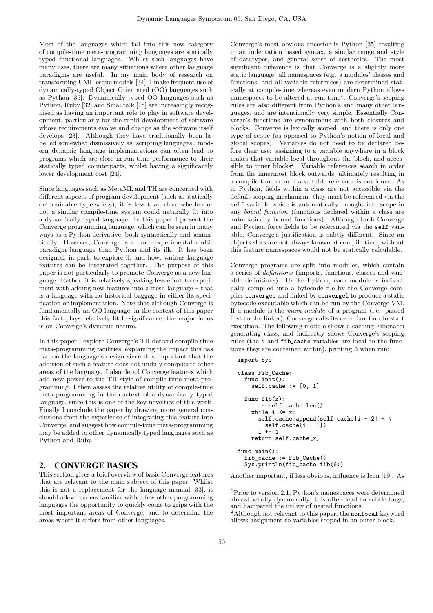Most of the languages which fall into this new category of compile-time meta-programming languages are statically typed functional languages. Whilst such languages have many uses, there are many situations where other language paradigms are useful. In my main body of research on transforming UML-esque models [34], I make frequent use of dynamically-typed Object Orientated (OO) languages such as Python [35]. Dynamically typed OO languages such as Python, Ruby [32] and Smalltalk [18] are increasingly recognised as having an important rôle to play in software development, particularly for the rapid development of software whose requirements evolve and change as the software itself develops [23]. Although they have traditionally been labelled somewhat dismissively as 'scripting languages', modern dynamic language implementations can often lead to programs which are close in run-time performance to their statically typed counterparts, whilst having a significantly lower development cost [24].

Since languages such as MetaML and TH are concerned with different aspects of program development (such as statically determinable type-safety), it is less than clear whether or not a similar compile-time system could naturally fit into a dynamically typed language. In this paper I present the Converge programming language, which can be seen in many ways as a Python derivative, both syntactically and semantically. However, Converge is a more experimental multiparadigm language than Python and its ilk. It has been designed, in part, to explore if, and how, various language features can be integrated together. The purpose of this paper is not particularly to promote Converge as a new language. Rather, it is relatively speaking less effort to experiment with adding new features into a fresh language – that is a language with no historical baggage in either its specification or implementation. Note that although Converge is fundamentally an OO language, in the context of this paper this fact plays relatively little significance; the major focus is on Converge's dynamic nature.

In this paper I explore Converge's TH-derived compile-time meta-programming facilities, explaining the impact this has had on the language's design since it is important that the addition of such a feature does not unduly complicate other areas of the language. I also detail Converge features which add new power to the TH style of compile-time meta-programming. I then assess the relative utility of compile-time meta-programming in the context of a dynamically typed language, since this is one of the key novelties of this work. Finally I conclude the paper by drawing more general conclusions from the experience of integrating this feature into Converge, and suggest how compile-time meta-programming may be added to other dynamically typed languages such as Python and Ruby.

## 2. CONVERGE BASICS

This section gives a brief overview of basic Converge features that are relevant to the main subject of this paper. Whilst this is not a replacement for the language manual [33], it should allow readers familiar with a few other programming languages the opportunity to quickly come to grips with the most important areas of Converge, and to determine the areas where it differs from other languages.

Converge's most obvious ancestor is Python [35] resulting in an indentation based syntax, a similar range and style of datatypes, and general sense of aesthetics. The most significant difference is that Converge is a slightly more static language: all namespaces (e.g. a modules' classes and functions, and all variable references) are determined statically at compile-time whereas even modern Python allows namespaces to be altered at run-time<sup>1</sup>. Converge's scoping rules are also different from Python's and many other languages, and are intentionally very simple. Essentially Converge's functions are synonymous with both closures and blocks. Converge is lexically scoped, and there is only one type of scope (as opposed to Python's notion of local and global scopes). Variables do not need to be declared before their use: assigning to a variable anywhere in a block makes that variable local throughout the block, and accessible to inner blocks<sup>2</sup>. Variable references search in order from the innermost block outwards, ultimately resulting in a compile-time error if a suitable reference is not found. As in Python, fields within a class are not accessible via the default scoping mechanism: they must be referenced via the self variable which is automatically brought into scope in any bound function (functions declared within a class are automatically bound functions). Although both Converge and Python force fields to be referenced via the self variable, Converge's justification is subtly different. Since an objects slots are not always known at compile-time, without this feature namespaces would not be statically calculable.

Converge programs are split into modules, which contain a series of definitions (imports, functions, classes and variable definitions). Unlike Python, each module is individually compiled into a bytecode file by the Converge compiler convergec and linked by convergel to produce a static bytecode executable which can be run by the Converge VM. If a module is the main module of a program (i.e. passed first to the linker), Converge calls its main function to start execution. The following module shows a caching Fibonacci generating class, and indirectly shows Converge's scoping rules (the i and fib cache variables are local to the functions they are contained within), printing 8 when run:

import Sys

```
class Fib_Cache:
  func init():
    self.cache := [0, 1]func fib(x):
    i := self.cache.len()
    while i \leq x:
      self.cache.append(self.cache[i - 2] + \
        self.cache[i - 1])i + = 1return self.cache[x]
func main():
 fib_cache := Fib_Cache()
 Sys.println(fib_cache.fib(6))
```
Another important, if less obvious, influence is Icon [19]. As

<sup>1</sup>Prior to version 2.1, Python's namespaces were determined almost wholly dynamically; this often lead to subtle bugs, and hampered the utility of nested functions.

<sup>&</sup>lt;sup>2</sup>Although not relevant to this paper, the nonlocal keyword allows assignment to variables scoped in an outer block.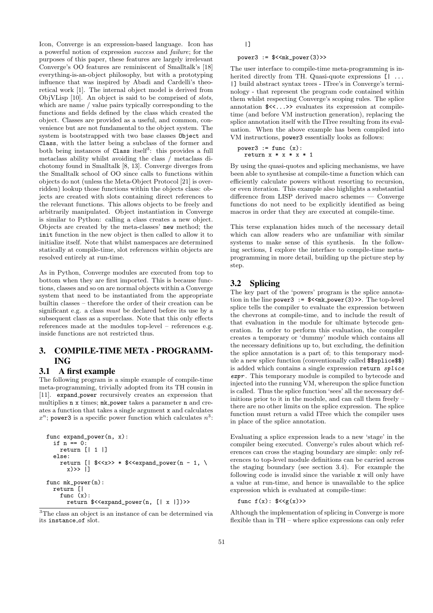Icon, Converge is an expression-based language. Icon has a powerful notion of expression success and failure; for the purposes of this paper, these features are largely irrelevant Converge's OO features are reminiscent of Smalltalk's [18] everything-is-an-object philosophy, but with a prototyping influence that was inspired by Abadi and Cardelli's theoretical work [1]. The internal object model is derived from ObjVLisp [10]. An object is said to be comprised of slots, which are name / value pairs typically corresponding to the functions and fields defined by the class which created the object. Classes are provided as a useful, and common, convenience but are not fundamental to the object system. The system is bootstrapped with two base classes Object and Class, with the latter being a subclass of the former and both being instances of Class itself<sup>3</sup>: this provides a full metaclass ability whilst avoiding the class / metaclass dichotomy found in Smalltalk [8, 13]. Converge diverges from the Smalltalk school of OO since calls to functions within objects do not (unless the Meta-Object Protocol [21] is overridden) lookup those functions within the objects class: objects are created with slots containing direct references to the relevant functions. This allows objects to be freely and arbitrarily manipulated. Object instantiation in Converge is similar to Python: calling a class creates a new object. Objects are created by the meta-classes' new method; the init function in the new object is then called to allow it to initialize itself. Note that whilst namespaces are determined statically at compile-time, slot references within objects are resolved entirely at run-time.

As in Python, Converge modules are executed from top to bottom when they are first imported. This is because functions, classes and so on are normal objects within a Converge system that need to be instantiated from the appropriate builtin classes – therefore the order of their creation can be significant e.g. a class must be declared before its use by a subsequent class as a superclass. Note that this only effects references made at the modules top-level – references e.g. inside functions are not restricted thus.

## 3. COMPILE-TIME META - PROGRAMM-ING

#### 3.1 A first example

The following program is a simple example of compile-time meta-programming, trivially adopted from its TH cousin in [11]. expand power recursively creates an expression that multiplies n x times; mk power takes a parameter n and creates a function that takes a single argument x and calculates  $x^n$ ; power3 is a specific power function which calculates  $n^3$ :

```
func expand_power(n, x):
  if n == 0:
    return [| 1 |]
  else:
    return [| \xi \ll x \gg * \xi \ll x pand_power(n - 1, \
      x) >> |]
func mk_power(n):
 return [|
    func (x):
      return $<<expand_power(n, [| x |])>>
```
|]

 $power3 :=$   $*(<sub>mk-power</sub>(3))$ 

The user interface to compile-time meta-programming is inherited directly from TH. Quasi-quote expressions  $[ | ...]$ |] build abstract syntax trees - ITree's in Converge's terminology - that represent the program code contained within them whilst respecting Converge's scoping rules. The splice annotation \$<<...>> evaluates its expression at compiletime (and before VM instruction generation), replacing the splice annotation itself with the ITree resulting from its evaluation. When the above example has been compiled into VM instructions, power3 essentially looks as follows:

power3 := func  $(x)$ : return  $x * x * x * 1$ 

By using the quasi-quotes and splicing mechanisms, we have been able to synthesise at compile-time a function which can efficiently calculate powers without resorting to recursion, or even iteration. This example also highlights a substantial difference from LISP derived macro schemes — Converge functions do not need to be explicitly identified as being macros in order that they are executed at compile-time.

This terse explanation hides much of the necessary detail which can allow readers who are unfamiliar with similar systems to make sense of this synthesis. In the following sections, I explore the interface to compile-time metaprogramming in more detail, building up the picture step by step.

## 3.2 Splicing

The key part of the 'powers' program is the splice annotation in the line power3 :=  $\frac{\sqrt{m}}{\sqrt{m}}$  power(3)>>. The top-level splice tells the compiler to evaluate the expression between the chevrons at compile-time, and to include the result of that evaluation in the module for ultimate bytecode generation. In order to perform this evaluation, the compiler creates a temporary or 'dummy' module which contains all the necessary definitions up to, but excluding, the definition the splice annotation is a part of; to this temporary module a new splice function (conventionally called \$\$splice\$\$) is added which contains a single expression return splice expr. This temporary module is compiled to bytecode and injected into the running VM, whereupon the splice function is called. Thus the splice function 'sees' all the necessary definitions prior to it in the module, and can call them freely – there are no other limits on the splice expression. The splice function must return a valid ITree which the compiler uses in place of the splice annotation.

Evaluating a splice expression leads to a new 'stage' in the compiler being executed. Converge's rules about which references can cross the staging boundary are simple: only references to top-level module definitions can be carried across the staging boundary (see section 3.4). For example the following code is invalid since the variable x will only have a value at run-time, and hence is unavailable to the splice expression which is evaluated at compile-time:

func  $f(x)$ :  $\sqrt[6]{(x)}$ 

Although the implementation of splicing in Converge is more flexible than in TH – where splice expressions can only refer

<sup>3</sup>The class an object is an instance of can be determined via its instance of slot.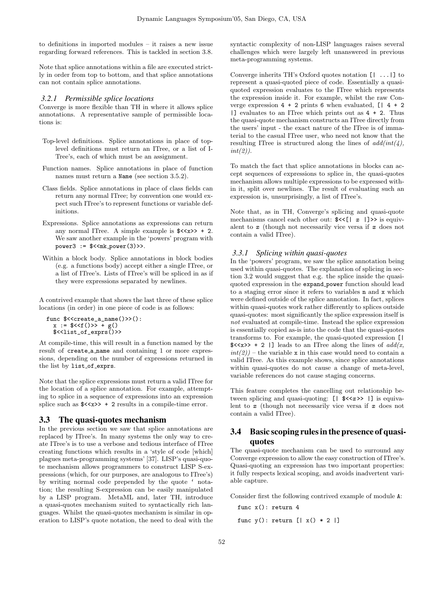to definitions in imported modules – it raises a new issue regarding forward references. This is tackled in section 3.8.

Note that splice annotations within a file are executed strictly in order from top to bottom, and that splice annotations can not contain splice annotations.

#### *3.2.1 Permissible splice locations*

Converge is more flexible than TH in where it allows splice annotations. A representative sample of permissible locations is:

- Top-level definitions. Splice annotations in place of toplevel definitions must return an ITree, or a list of I-Tree's, each of which must be an assignment.
- Function names. Splice annotations in place of function names must return a Name (see section 3.5.2).
- Class fields. Splice annotations in place of class fields can return any normal ITree; by convention one would expect such ITree's to represent functions or variable definitions.
- Expressions. Splice annotations as expressions can return any normal ITree. A simple example is  $\sqrt{$}> + 2$ . We saw another example in the 'powers' program with  $power3 :=$   $\frac{\sqrt{6}}{2}$  :=  $\frac{\sqrt{6}}{2}$   $\frac{\sqrt{6}}{2}$   $\frac{\sqrt{6}}{2}$   $\frac{\sqrt{6}}{2}$   $\frac{\sqrt{6}}{2}$
- Within a block body. Splice annotations in block bodies (e.g. a functions body) accept either a single ITree, or a list of ITree's. Lists of ITree's will be spliced in as if they were expressions separated by newlines.

A contrived example that shows the last three of these splice locations (in order) in one piece of code is as follows:

```
func $<<create_a_name()>>():
  x := $ < \cdots \cdots + g()
  $<<list_of_exprs()>>
```
At compile-time, this will result in a function named by the result of create a name and containing 1 or more expressions, depending on the number of expressions returned in the list by list of exprs.

Note that the splice expressions must return a valid ITree for the location of a splice annotation. For example, attempting to splice in a sequence of expressions into an expression splice such as  $\xi \langle x \rangle$  + 2 results in a compile-time error.

#### 3.3 The quasi-quotes mechanism

In the previous section we saw that splice annotations are replaced by ITree's. In many systems the only way to create ITree's is to use a verbose and tedious interface of ITree creating functions which results in a 'style of code [which] plagues meta-programming systems' [37]. LISP's quasi-quote mechanism allows programmers to construct LISP S-expressions (which, for our purposes, are analogous to ITree's) by writing normal code prepended by the quote ' notation; the resulting S-expression can be easily manipulated by a LISP program. MetaML and, later TH, introduce a quasi-quotes mechanism suited to syntactically rich languages. Whilst the quasi-quotes mechanism is similar in operation to LISP's quote notation, the need to deal with the syntactic complexity of non-LISP languages raises several challenges which were largely left unanswered in previous meta-programming systems.

Converge inherits TH's Oxford quotes notation [| ...|] to represent a quasi-quoted piece of code. Essentially a quasiquoted expression evaluates to the ITree which represents the expression inside it. For example, whilst the raw Converge expression  $4 + 2$  prints 6 when evaluated,  $\begin{bmatrix} 1 & 4 & + & 2 \end{bmatrix}$ |] evaluates to an ITree which prints out as 4 + 2. Thus the quasi-quote mechanism constructs an ITree directly from the users' input - the exact nature of the ITree is of immaterial to the casual ITree user, who need not know that the resulting ITree is structured along the lines of  $add(int(4))$ ,  $int(2)$ .

To match the fact that splice annotations in blocks can accept sequences of expressions to splice in, the quasi-quotes mechanism allows multiple expressions to be expressed within it, split over newlines. The result of evaluating such an expression is, unsurprisingly, a list of ITree's.

Note that, as in TH, Converge's splicing and quasi-quote mechanisms cancel each other out:  $\sqrt{\zeta}$  | | x | | | >> is equivalent to  $x$  (though not necessarily vice versa if  $x$  does not contain a valid ITree).

#### *3.3.1 Splicing within quasi-quotes*

In the 'powers' program, we saw the splice annotation being used within quasi-quotes. The explanation of splicing in section 3.2 would suggest that e.g. the splice inside the quasiquoted expression in the expand power function should lead to a staging error since it refers to variables n and x which were defined outside of the splice annotation. In fact, splices within quasi-quotes work rather differently to splices outside quasi-quotes: most significantly the splice expression itself is not evaluated at compile-time. Instead the splice expression is essentially copied as-is into the code that the quasi-quotes transforms to. For example, the quasi-quoted expression [|  $\xi$  < x>> + 2 |] leads to an ITree along the lines of  $add(x,$  $int(2)$ ) – the variable x in this case would need to contain a valid ITree. As this example shows, since splice annotations within quasi-quotes do not cause a change of meta-level, variable references do not cause staging concerns.

This feature completes the cancelling out relationship between splicing and quasi-quoting:  $[$   $\ast < x >$   $]$  is equivalent to  $x$  (though not necessarily vice versa if  $x$  does not contain a valid ITree).

## 3.4 Basic scoping rules in the presence of quasiquotes

The quasi-quote mechanism can be used to surround any Converge expression to allow the easy construction of ITree's. Quasi-quoting an expression has two important properties: it fully respects lexical scoping, and avoids inadvertent variable capture.

Consider first the following contrived example of module A:

func x(): return 4

func  $y()$ : return  $[ | x() * 2 | ]$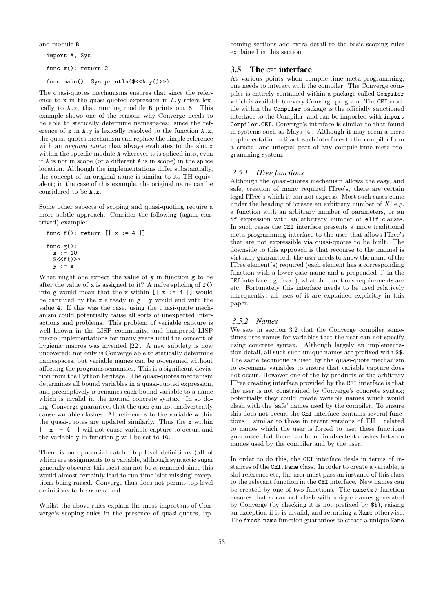and module B:

import A, Sys

func x(): return 2

#### func main(): Sys.println(\$<<A.y()>>)

The quasi-quotes mechanisms ensures that since the reference to x in the quasi-quoted expression in A.y refers lexically to A.x, that running module B prints out 8. This example shows one of the reasons why Converge needs to be able to statically determine namespaces: since the reference of x in A.y is lexically resolved to the function A.x, the quasi-quotes mechanism can replace the simple reference with an *original name* that always evaluates to the slot x within the specific module A wherever it is spliced into, even if A is not in scope (or a different A is in scope) in the splice location. Although the implementations differ substantially, the concept of an original name is similar to its TH equivalent; in the case of this example, the original name can be considered to be A.x.

Some other aspects of scoping and quasi-quoting require a more subtle approach. Consider the following (again contrived) example:

func  $f()$ : return  $[ | x := 4 | ]$ func g():  $x := 10$ \$<<f()>>  $y := x$ 

What might one expect the value of y in function g to be after the value of  $x$  is assigned to it? A naïve splicing of  $f()$ into g would mean that the x within  $[ \, | \, x := 4 \, | ]$  would be captured by the x already in  $g - y$  would end with the value 4. If this was the case, using the quasi-quote mechanism could potentially cause all sorts of unexpected interactions and problems. This problem of variable capture is well known in the LISP community, and hampered LISP macro implementations for many years until the concept of hygienic macros was invented [22]. A new subtlety is now uncovered: not only is Converge able to statically determine namespaces, but variable names can be  $\alpha$ -renamed without affecting the programs semantics. This is a significant deviation from the Python heritage. The quasi-quotes mechanism determines all bound variables in a quasi-quoted expression, and preemptively  $\alpha$ -renames each bound variable to a name which is invalid in the normal concrete syntax. In so doing, Converge guarantees that the user can not inadvertently cause variable clashes. All references to the variable within the quasi-quotes are updated similarly. Thus the x within  $[ \cdot \, x \, := \, 4 \, 1 ]$  will not cause variable capture to occur, and the variable y in function g will be set to 10.

There is one potential catch: top-level definitions (all of which are assignments to a variable, although syntactic sugar generally obscures this fact) can not be  $\alpha$ -renamed since this would almost certainly lead to run-time 'slot missing' exceptions being raised. Converge thus does not permit top-level definitions to be  $\alpha\text{-renamed}.$ 

Whilst the above rules explain the most important of Converge's scoping rules in the presence of quasi-quotes, up-

coming sections add extra detail to the basic scoping rules explained in this section.

## 3.5 The CEI interface

At various points when compile-time meta-programming, one needs to interact with the compiler. The Converge compiler is entirely contained within a package called Compiler which is available to every Converge program. The CEI module within the Compiler package is the officially sanctioned interface to the Compiler, and can be imported with import Compiler.CEI. Converge's interface is similar to that found in systems such as Maya [4]. Although it may seem a mere implementation artifact, such interfaces to the compiler form a crucial and integral part of any compile-time meta-programming system.

#### *3.5.1 ITree functions*

Although the quasi-quotes mechanism allows the easy, and safe, creation of many required ITree's, there are certain legal ITree's which it can not express. Most such cases come under the heading of 'create an arbitrary number of  $X'$  e.g. a function with an arbitrary number of parameters, or an if expression with an arbitrary number of elif clauses. In such cases the CEI interface presents a more traditional meta-programming interface to the user that allows ITree's that are not expressible via quasi-quotes to be built. The downside to this approach is that recourse to the manual is virtually guaranteed: the user needs to know the name of the ITree element(s) required (each element has a corresponding function with a lower case name and a prepended 'i' in the CEI interface e.g. ivar), what the functions requirements are etc. Fortunately this interface needs to be used relatively infrequently; all uses of it are explained explicitly in this paper.

#### *3.5.2 Names*

We saw in section 3.2 that the Converge compiler sometimes uses names for variables that the user can not specify using concrete syntax. Although largely an implementation detail, all such such unique names are prefixed with \$\$. The same technique is used by the quasi-quote mechanism to  $\alpha$ -rename variables to ensure that variable capture does not occur. However one of the by-products of the arbitrary ITree creating interface provided by the CEI interface is that the user is not constrained by Converge's concrete syntax; potentially they could create variable names which would clash with the 'safe' names used by the compiler. To ensure this does not occur, the CEI interface contains several functions – similar to those in recent versions of TH – related to names which the user is forced to use; these functions guarantee that there can be no inadvertent clashes between names used by the compiler and by the user.

In order to do this, the CEI interface deals in terms of instances of the CEI.Name class. In order to create a variable, a slot reference etc, the user must pass an instance of this class to the relevant function in the CEI interface. New names can be created by one of two functions. The  $name(x)$  function ensures that  $x$  can not clash with unique names generated by Converge (by checking it is not prefixed by \$\$), raising an exception if it is invalid, and returning a Name otherwise. The fresh name function guarantees to create a unique Name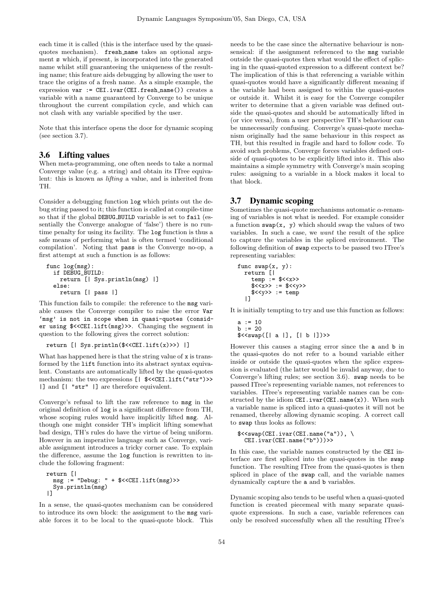each time it is called (this is the interface used by the quasiquotes mechanism). fresh name takes an optional argument  $x$  which, if present, is incorporated into the generated name whilst still guaranteeing the uniqueness of the resulting name; this feature aids debugging by allowing the user to trace the origins of a fresh name. As a simple example, the expression var := CEI.ivar(CEI.fresh name()) creates a variable with a name guaranteed by Converge to be unique throughout the current compilation cycle, and which can not clash with any variable specified by the user.

Note that this interface opens the door for dynamic scoping (see section 3.7).

## 3.6 Lifting values

When meta-programming, one often needs to take a normal Converge value (e.g. a string) and obtain its ITree equivalent: this is known as lifting a value, and is inherited from TH.

Consider a debugging function log which prints out the debug string passed to it; this function is called at compile-time so that if the global DEBUG BUILD variable is set to fail (essentially the Converge analogue of 'false') there is no runtime penalty for using its facility. The log function is thus a safe means of performing what is often termed 'conditional compilation'. Noting that pass is the Converge no-op, a first attempt at such a function is as follows:

```
func log(msg):
  if DEBUG_BUILD:
    return [| Sys.println(msg) |]
  else:
    return [| pass |]
```
This function fails to compile: the reference to the msg variable causes the Converge compiler to raise the error Var 'msg' is not in scope when in quasi-quotes (consider using \$<<CEI.lift(msg)>>. Changing the segment in question to the following gives the correct solution:

```
return [| Sys.println($<<CEI.lift(x)>>) |]
```
What has happened here is that the string value of x is transformed by the lift function into its abstract syntax equivalent. Constants are automatically lifted by the quasi-quotes mechanism: the two expressions  $[ \ ]$  \$<<CEI.lift("str")>> |] and [| "str" |] are therefore equivalent.

Converge's refusal to lift the raw reference to msg in the original definition of log is a significant difference from TH, whose scoping rules would have implicitly lifted msg. Although one might consider TH's implicit lifting somewhat bad design, TH's rules do have the virtue of being uniform. However in an imperative language such as Converge, variable assignment introduces a tricky corner case. To explain the difference, assume the log function is rewritten to include the following fragment:

```
return [|
 msg := "Debug: " + $<<CEIuift(msg)Sys.println(msg)
|]
```
In a sense, the quasi-quotes mechanism can be considered to introduce its own block: the assignment to the msg variable forces it to be local to the quasi-quote block. This needs to be the case since the alternative behaviour is nonsensical: if the assignment referenced to the msg variable outside the quasi-quotes then what would the effect of splicing in the quasi-quoted expression to a different context be? The implication of this is that referencing a variable within quasi-quotes would have a significantly different meaning if the variable had been assigned to within the quasi-quotes or outside it. Whilst it is easy for the Converge compiler writer to determine that a given variable was defined outside the quasi-quotes and should be automatically lifted in (or vice versa), from a user perspective TH's behaviour can be unnecessarily confusing. Converge's quasi-quote mechanism originally had the same behaviour in this respect as TH, but this resulted in fragile and hard to follow code. To avoid such problems, Converge forces variables defined outside of quasi-quotes to be explicitly lifted into it. This also maintains a simple symmetry with Converge's main scoping rules: assigning to a variable in a block makes it local to that block.

#### 3.7 Dynamic scoping

Sometimes the quasi-quote mechanisms automatic  $\alpha$ -renaming of variables is not what is needed. For example consider a function  $swap(x, y)$  which should swap the values of two variables. In such a case, we want the result of the splice to capture the variables in the spliced environment. The following definition of swap expects to be passed two ITree's representing variables:

```
func swap(x, y):
  return [|
    temp := $<<x>>
    $<<x>> := $<<y>>\xi < y >> := \text{temp}|]
```
It is initially tempting to try and use this function as follows:

```
a := 10b := 20$<<swap([| a |], [| b |])>>
```
However this causes a staging error since the a and b in the quasi-quotes do not refer to a bound variable either inside or outside the quasi-quotes when the splice expression is evaluated (the latter would be invalid anyway, due to Converge's lifting rules; see section 3.6). swap needs to be passed ITree's representing variable names, not references to variables. ITree's representing variable names can be constructed by the idiom  $CEI.java(CEI.name(x))$ . When such a variable name is spliced into a quasi-quotes it will not be renamed, thereby allowing dynamic scoping. A correct call to swap thus looks as follows:

```
$<<swap(CEI.ivar(CEI.name("a")), \
 CEI.ivar(CEI.name("b")))>>
```
In this case, the variable names constructed by the CEI interface are first spliced into the quasi-quotes in the swap function. The resulting ITree from the quasi-quotes is then spliced in place of the swap call, and the variable names dynamically capture the a and b variables.

Dynamic scoping also tends to be useful when a quasi-quoted function is created piecemeal with many separate quasiquote expressions. In such a case, variable references can only be resolved successfully when all the resulting ITree's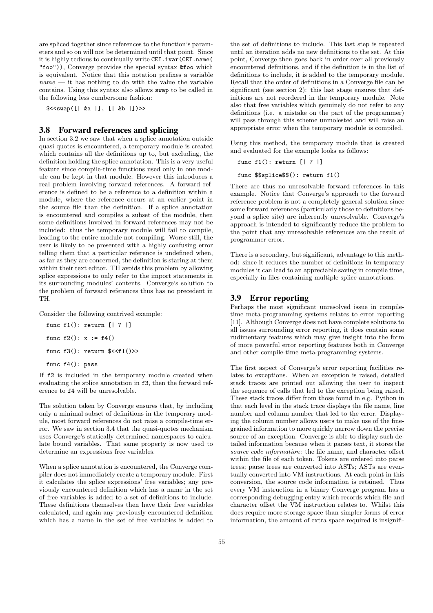are spliced together since references to the function's parameters and so on will not be determined until that point. Since it is highly tedious to continually write CEI.ivar(CEI.name( "foo")), Converge provides the special syntax  $k$ foo which is equivalent. Notice that this notation prefixes a variable  $name$  — it has nothing to do with the value the variable contains. Using this syntax also allows swap to be called in the following less cumbersome fashion:

\$<<swap([| &a |], [| &b |])>>

#### 3.8 Forward references and splicing

In section 3.2 we saw that when a splice annotation outside quasi-quotes is encountered, a temporary module is created which contains all the definitions up to, but excluding, the definition holding the splice annotation. This is a very useful feature since compile-time functions used only in one module can be kept in that module. However this introduces a real problem involving forward references. A forward reference is defined to be a reference to a definition within a module, where the reference occurs at an earlier point in the source file than the definition. If a splice annotation is encountered and compiles a subset of the module, then some definitions involved in forward references may not be included: thus the temporary module will fail to compile, leading to the entire module not compiling. Worse still, the user is likely to be presented with a highly confusing error telling them that a particular reference is undefined when, as far as they are concerned, the definition is staring at them within their text editor. TH avoids this problem by allowing splice expressions to only refer to the import statements in its surrounding modules' contents. Converge's solution to the problem of forward references thus has no precedent in TH.

Consider the following contrived example:

func f1(): return [| 7 |] func  $f2()$ :  $x := f4()$ func f3(): return \$<<f1()>> func f4(): pass

If f2 is included in the temporary module created when evaluating the splice annotation in f3, then the forward reference to f4 will be unresolvable.

The solution taken by Converge ensures that, by including only a minimal subset of definitions in the temporary module, most forward references do not raise a compile-time error. We saw in section 3.4 that the quasi-quotes mechanism uses Converge's statically determined namespaces to calculate bound variables. That same property is now used to determine an expressions free variables.

When a splice annotation is encountered, the Converge compiler does not immediately create a temporary module. First it calculates the splice expressions' free variables; any previously encountered definition which has a name in the set of free variables is added to a set of definitions to include. These definitions themselves then have their free variables calculated, and again any previously encountered definition which has a name in the set of free variables is added to

the set of definitions to include. This last step is repeated until an iteration adds no new definitions to the set. At this point, Converge then goes back in order over all previously encountered definitions, and if the definition is in the list of definitions to include, it is added to the temporary module. Recall that the order of definitions in a Converge file can be significant (see section 2): this last stage ensures that definitions are not reordered in the temporary module. Note also that free variables which genuinely do not refer to any definitions (i.e. a mistake on the part of the programmer) will pass through this scheme unmolested and will raise an appropriate error when the temporary module is compiled.

Using this method, the temporary module that is created and evaluated for the example looks as follows:

func f1(): return [| 7 |]

func \$\$splice\$\$(): return f1()

There are thus no unresolvable forward references in this example. Notice that Converge's approach to the forward reference problem is not a completely general solution since some forward references (particularly those to definitions beyond a splice site) are inherently unresolvable. Converge's approach is intended to significantly reduce the problem to the point that any unresolvable references are the result of programmer error.

There is a secondary, but significant, advantage to this method: since it reduces the number of definitions in temporary modules it can lead to an appreciable saving in compile time, especially in files containing multiple splice annotations.

#### 3.9 Error reporting

Perhaps the most significant unresolved issue in compiletime meta-programming systems relates to error reporting [11]. Although Converge does not have complete solutions to all issues surrounding error reporting, it does contain some rudimentary features which may give insight into the form of more powerful error reporting features both in Converge and other compile-time meta-programming systems.

The first aspect of Converge's error reporting facilities relates to exceptions. When an exception is raised, detailed stack traces are printed out allowing the user to inspect the sequence of calls that led to the exception being raised. These stack traces differ from those found in e.g. Python in that each level in the stack trace displays the file name, line number and column number that led to the error. Displaying the column number allows users to make use of the finegrained information to more quickly narrow down the precise source of an exception. Converge is able to display such detailed information because when it parses text, it stores the source code information: the file name, and character offset within the file of each token. Tokens are ordered into parse trees; parse trees are converted into ASTs; ASTs are eventually converted into VM instructions. At each point in this conversion, the source code information is retained. Thus every VM instruction in a binary Converge program has a corresponding debugging entry which records which file and character offset the VM instruction relates to. Whilst this does require more storage space than simpler forms of error information, the amount of extra space required is insignifi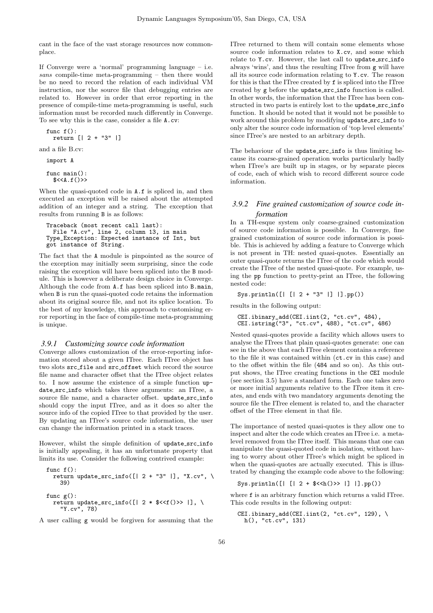cant in the face of the vast storage resources now commonplace.

If Converge were a 'normal' programming language – i.e. sans compile-time meta-programming – then there would be no need to record the relation of each individual VM instruction, nor the source file that debugging entries are related to. However in order that error reporting in the presence of compile-time meta-programming is useful, such information must be recorded much differently in Converge. To see why this is the case, consider a file A.cv:

func  $f()$ : return [| 2 + "3" |]

and a file B.cv:

import A

func main():  $< A.f()$ 

When the quasi-quoted code in  $A.f$  is spliced in, and then executed an exception will be raised about the attempted addition of an integer and a string. The exception that results from running B is as follows:

```
Traceback (most recent call last):
 File "A.cv", line 2, column 13, in main
Type_Exception: Expected instance of Int, but
got instance of String.
```
The fact that the A module is pinpointed as the source of the exception may initially seem surprising, since the code raising the exception will have been spliced into the B module. This is however a deliberate design choice in Converge. Although the code from A.f has been spliced into B.main, when B is run the quasi-quoted code retains the information about its original source file, and not its splice location. To the best of my knowledge, this approach to customising error reporting in the face of compile-time meta-programming is unique.

#### *3.9.1 Customizing source code information*

Converge allows customization of the error-reporting information stored about a given ITree. Each ITree object has two slots src file and src offset which record the source file name and character offset that the ITree object relates to. I now assume the existence of a simple function update src info which takes three arguments: an ITree, a source file name, and a character offset. update\_src\_info should copy the input ITree, and as it does so alter the source info of the copied ITree to that provided by the user. By updating an ITree's source code information, the user can change the information printed in a stack traces.

However, whilst the simple definition of update\_src\_info is initially appealing, it has an unfortunate property that limits its use. Consider the following contrived example:

```
func f():
 return update_src_info([| 2 + "3" |], "X.cv", \
   39)
func g():
 return update_src_info([| 2 * $<<f()>> |], \
    "Y.cv", 78)
```
A user calling g would be forgiven for assuming that the

ITree returned to them will contain some elements whose source code information relates to X.cv, and some which relate to Y.cv. However, the last call to update\_src\_info always 'wins', and thus the resulting ITree from g will have all its source code information relating to Y.cv. The reason for this is that the ITree created by f is spliced into the ITree created by g before the update src info function is called. In other words, the information that the ITree has been constructed in two parts is entirely lost to the update\_src\_info function. It should be noted that it would not be possible to work around this problem by modifying update\_src\_info to only alter the source code information of 'top level elements' since ITree's are nested to an arbitrary depth.

The behaviour of the update\_src\_info is thus limiting because its coarse-grained operation works particularly badly when ITree's are built up in stages, or by separate pieces of code, each of which wish to record different source code information.

## *3.9.2 Fine grained customization of source code information*

In a TH-esque system only coarse-grained customization of source code information is possible. In Converge, fine grained customization of source code information is possible. This is achieved by adding a feature to Converge which is not present in TH: nested quasi-quotes. Essentially an outer quasi-quote returns the ITree of the code which would create the ITree of the nested quasi-quote. For example, using the pp function to pretty-print an ITree, the following nested code:

Sys.println([| [| 2 + "3" |] |].pp())

results in the following output:

```
CEI.ibinary_add(CEI.iint(2, "ct.cv", 484),
CEI.istring("3", "ct.cv", 488), "ct.cv", 486)
```
Nested quasi-quotes provide a facility which allows users to analyse the ITrees that plain quasi-quotes generate: one can see in the above that each ITree element contains a reference to the file it was contained within (ct.cv in this case) and to the offset within the file (484 and so on). As this output shows, the ITree creating functions in the CEI module (see section 3.5) have a standard form. Each one takes zero or more initial arguments relative to the ITree item it creates, and ends with two mandatory arguments denoting the source file the ITree element is related to, and the character offset of the ITree element in that file.

The importance of nested quasi-quotes is they allow one to inspect and alter the code which creates an ITree i.e. a metalevel removed from the ITree itself. This means that one can manipulate the quasi-quoted code in isolation, without having to worry about other ITree's which might be spliced in when the quasi-quotes are actually executed. This is illustrated by changing the example code above to the following:

Sys.println([|  $[ | 2 + $ | ] | ] .pp()$ 

where  $f$  is an arbitrary function which returns a valid ITree. This code results in the following output:

```
CEI.ibinary_add(CEI.iint(2, "ct.cv", 129), \
 h(), "ct.cv", 131)
```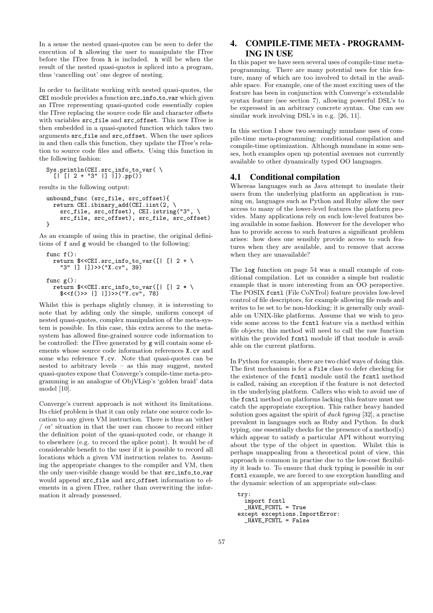In a sense the nested quasi-quotes can be seen to defer the execution of h allowing the user to manipulate the ITree before the ITree from h is included. h will be when the result of the nested quasi-quotes is spliced into a program, thus 'cancelling out' one degree of nesting.

In order to facilitate working with nested quasi-quotes, the CEI module provides a function  $src_info_to_var$  which given an ITree representing quasi-quoted code essentially copies the ITree replacing the source code file and character offsets with variables src file and src offset. This new ITree is then embedded in a quasi-quoted function which takes two arguments src file and src offset. When the user splices in and then calls this function, they update the ITree's relation to source code files and offsets. Using this function in the following fashion:

Sys.println(CEI.src\_info\_to\_var( \  $[ | 1 2 + 3 1 ] | 1$ .pp())

results in the following output:

```
unbound func (src_file, src_offset){
 return CEI.ibinary_add(CEI.iint(2, \
   src_file, src_offset), CEI.istring("3", \
    src_file, src_offset), src_file, src_offset)
}
```
As an example of using this in practise, the original definitions of f and g would be changed to the following:

```
func f():
  return \frac{\sqrt{C}}{\sqrt{C}}.src_info_to_var([| [| 2 + \
    "3" |] |])>>("X.cv", 39)
func g():
  return $<<CEI.src_info_to_var([| [| 2 * \
    $(\< f()>> []])>>("Y.cv", 78)
```
Whilst this is perhaps slightly clumsy, it is interesting to note that by adding only the simple, uniform concept of nested quasi-quotes, complex manipulation of the meta-system is possible. In this case, this extra access to the metasystem has allowed fine-grained source code information to be controlled: the ITree generated by g will contain some elements whose source code information references X.cv and some who reference Y.cv. Note that quasi-quotes can be nested to arbitrary levels – as this may suggest, nested quasi-quotes expose that Converge's compile-time meta-programming is an analogue of ObjVLisp's 'golden braid' data model [10].

Converge's current approach is not without its limitations. Its chief problem is that it can only relate one source code location to any given VM instruction. There is thus an 'either / or' situation in that the user can choose to record either the definition point of the quasi-quoted code, or change it to elsewhere (e.g. to record the splice point). It would be of considerable benefit to the user if it is possible to record all locations which a given VM instruction relates to. Assuming the appropriate changes to the compiler and VM, then the only user-visible change would be that  $src_info_to_var$ would append src\_file and src\_offset information to elements in a given ITree, rather than overwriting the information it already possessed.

## 4. COMPILE-TIME META - PROGRAMM-ING IN USE

In this paper we have seen several uses of compile-time metaprogramming. There are many potential uses for this feature, many of which are too involved to detail in the available space. For example, one of the most exciting uses of the feature has been in conjunction with Converge's extendable syntax feature (see section 7), allowing powerful DSL's to be expressed in an arbitrary concrete syntax. One can see similar work involving DSL's in e.g. [26, 11].

In this section I show two seemingly mundane uses of compile-time meta-programming: conditional compilation and compile-time optimization. Although mundane in some senses, both examples open up potential avenues not currently available to other dynamically typed OO languages.

#### 4.1 Conditional compilation

Whereas languages such as Java attempt to insulate their users from the underlying platform an application is running on, languages such as Python and Ruby allow the user access to many of the lower-level features the platform provides. Many applications rely on such low-level features being available in some fashion. However for the developer who has to provide access to such features a significant problem arises: how does one sensibly provide access to such features when they are available, and to remove that access when they are unavailable?

The log function on page 54 was a small example of conditional compilation. Let us consider a simple but realistic example that is more interesting from an OO perspective. The POSIX fcntl (File CoNTrol) feature provides low-level control of file descriptors, for example allowing file reads and writes to be set to be non-blocking; it is generally only available on UNIX-like platforms. Assume that we wish to provide some access to the fcntl feature via a method within file objects; this method will need to call the raw function within the provided fcntl module iff that module is available on the current platform.

In Python for example, there are two chief ways of doing this. The first mechanism is for a File class to defer checking for the existence of the fcntl module until the fcntl method is called, raising an exception if the feature is not detected in the underlying platform. Callers who wish to avoid use of the fcntl method on platforms lacking this feature must use catch the appropriate exception. This rather heavy handed solution goes against the spirit of duck typing [32], a practise prevalent in languages such as Ruby and Python. In duck typing, one essentially checks for the presence of a method(s) which appear to satisfy a particular API without worrying about the type of the object in question. Whilst this is perhaps unappealing from a theoretical point of view, this approach is common in practise due to the low-cost flexibility it leads to. To ensure that duck typing is possible in our fcntl example, we are forced to use exception handling and the dynamic selection of an appropriate sub-class:

```
try:
 import fcntl
  HAVE FCNTL = True
except exceptions.ImportError:
 _HAVE_FCNTL = False
```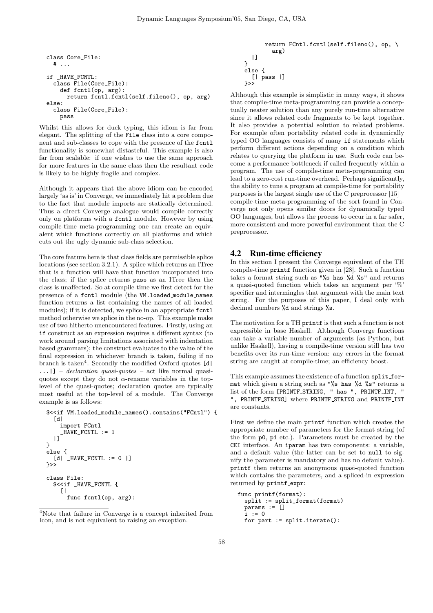}

```
class Core_File:
  # ...
if _HAVE_FCNTL:
  class File(Core_File):
    def fcntl(op, arg):
      return fcntl.fcntl(self.fileno(), op, arg)
else:
  class File(Core_File):
   pass
```
Whilst this allows for duck typing, this idiom is far from elegant. The splitting of the File class into a core component and sub-classes to cope with the presence of the fcntl functionality is somewhat distasteful. This example is also far from scalable: if one wishes to use the same approach for more features in the same class then the resultant code is likely to be highly fragile and complex.

Although it appears that the above idiom can be encoded largely 'as is' in Converge, we immediately hit a problem due to the fact that module imports are statically determined. Thus a direct Converge analogue would compile correctly only on platforms with a fcntl module. However by using compile-time meta-programming one can create an equivalent which functions correctly on all platforms and which cuts out the ugly dynamic sub-class selection.

The core feature here is that class fields are permissible splice locations (see section 3.2.1). A splice which returns an ITree that is a function will have that function incorporated into the class; if the splice returns pass as an ITree then the class is unaffected. So at compile-time we first detect for the presence of a fcntl module (the VM.loaded module names function returns a list containing the names of all loaded modules); if it is detected, we splice in an appropriate fcntl method otherwise we splice in the no-op. This example make use of two hitherto unencountered features. Firstly, using an if construct as an expression requires a different syntax (to work around parsing limitations associated with indentation based grammars); the construct evaluates to the value of the final expression in whichever branch is taken, failing if no branch is taken<sup>4</sup>. Secondly the modified Oxford quotes  $[d]$  $\dots$ ] – *declaration quasi-quotes* – act like normal quasiquotes except they do not  $\alpha$ -rename variables in the toplevel of the quasi-quotes; declaration quotes are typically most useful at the top-level of a module. The Converge example is as follows:

```
$<<if VM.loaded_module_names().contains("FCntl") {
  \lceil d \rceilimport FCntl
    IHAVE_FCNTL := 1|]
}
else {
  [d| _HAVE_FCNTL := 0 |]
}>>
class File:
  $<<if _HAVE_FCNTL {
    \Gamma|
      func fcntl(op, arg):
```

```
return FCntl.fcntl(self.fileno(), op, \
        arg)
  |]
else {
  [| pass |]
}>>
```
Although this example is simplistic in many ways, it shows that compile-time meta-programming can provide a conceptually neater solution than any purely run-time alternative since it allows related code fragments to be kept together. It also provides a potential solution to related problems. For example often portability related code in dynamically typed OO languages consists of many if statements which perform different actions depending on a condition which relates to querying the platform in use. Such code can become a performance bottleneck if called frequently within a program. The use of compile-time meta-programming can lead to a zero-cost run-time overhead. Perhaps significantly, the ability to tune a program at compile-time for portability purposes is the largest single use of the C preprocessor [15] – compile-time meta-programming of the sort found in Converge not only opens similar doors for dynamically typed OO languages, but allows the process to occur in a far safer, more consistent and more powerful environment than the C preprocessor.

#### 4.2 Run-time efficiency

In this section I present the Converge equivalent of the TH compile-time printf function given in [28]. Such a function takes a format string such as "%s has %d %s" and returns a quasi-quoted function which takes an argument per '%' specifier and intermingles that argument with the main text string. For the purposes of this paper, I deal only with decimal numbers %d and strings %s.

The motivation for a TH printf is that such a function is not expressible in base Haskell. Although Converge functions can take a variable number of arguments (as Python, but unlike Haskell), having a compile-time version still has two benefits over its run-time version: any errors in the format string are caught at compile-time; an efficiency boost.

This example assumes the existence of a function split format which given a string such as "%s has %d %s" returns a list of the form [PRINTF\_STRING, " has ", PRINTF\_INT, " ", PRINTF STRING] where PRINTF STRING and PRINTF INT are constants.

First we define the main printf function which creates the appropriate number of parameters for the format string (of the form p0, p1 etc.). Parameters must be created by the CEI interface. An iparam has two components: a variable, and a default value (the latter can be set to null to signify the parameter is mandatory and has no default value). printf then returns an anonymous quasi-quoted function which contains the parameters, and a spliced-in expression returned by printf\_expr:

```
func printf(format):
 split := split_format(format)
 params := []i := 0for part := split.iterate():
```
<sup>4</sup>Note that failure in Converge is a concept inherited from Icon, and is not equivalent to raising an exception.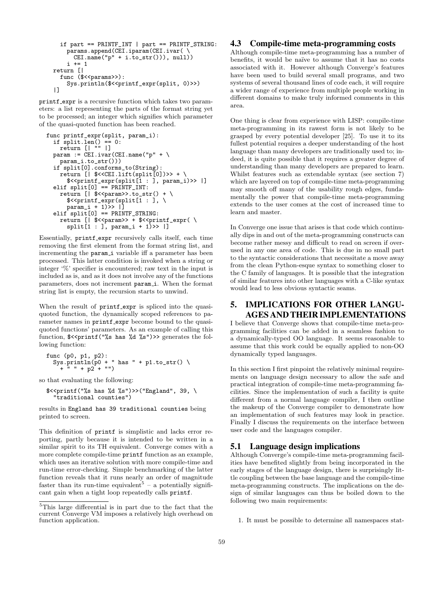```
if part == PRINTF_INT | part == PRINTF_STRING:
    params.append(CEI.iparam(CEI.ivar()
     CEI.name("p" + i.to\_str()), null)i + = 1return [|
  func ($<<params>>):
    Sys.println($<<printf_expr(split, 0)>>)
|]
```
printf expr is a recursive function which takes two parameters: a list representing the parts of the format string yet to be processed; an integer which signifies which parameter of the quasi-quoted function has been reached.

```
func printf_expr(split, param_i):
  if split.len() == 0:
    return [| "" |]
  param := CEL.ivar(CEL.name("p" + \n)param_i.to_str()))
  if split[0].conforms_to(String):
    return [| $<<CEI.lift(split[0])>> + \
      $<<printf_expr(split[1 : ], param_i)>> |]
  elif \text{split}[0] == \text{PRINT-INT}:return [| $<<param>>.to_str() + \
      \sqrt{$x$-printf_{expr}(split[1 : ], \ \}param_i + 1)>> |]
  elif split[0] == PRINTF_STRING:
    return [| \sqrt{$\lt{q}aram} + \sqrt{$\lt{q}rantf_{ex} + \sqrt{$\lt{q}rantf_{ex}split[1 : ], param_i + 1)>> |]
```
Essentially, printf expr recursively calls itself, each time removing the first element from the format string list, and incrementing the param<sub>-i</sub> variable iff a parameter has been processed. This latter condition is invoked when a string or integer '%' specifier is encountered; raw text in the input is included as is, and as it does not involve any of the functions parameters, does not increment param i. When the format string list is empty, the recursion starts to unwind.

When the result of printf expr is spliced into the quasiquoted function, the dynamically scoped references to parameter names in printf expr become bound to the quasiquoted functions' parameters. As an example of calling this function,  $\sqrt{\pi}$  function,  $\sqrt{\pi}$  is the following the following the following the following the following the following the following the following the following the following the following the following the following lowing function:

```
func (p0, p1, p2):
  Sys.println(p0 + " has " + p1.to\_str() \setminus+ " " + p2 + "")
```
so that evaluating the following:

```
\scriptstyle\frac{29}{8} <printf("%s has %d %s")>>("England", 39, \
  "traditional counties")
```
results in England has 39 traditional counties being printed to screen.

This definition of printf is simplistic and lacks error reporting, partly because it is intended to be written in a similar spirit to its TH equivalent. Converge comes with a more complete compile-time printf function as an example, which uses an iterative solution with more compile-time and run-time error-checking. Simple benchmarking of the latter function reveals that it runs nearly an order of magnitude faster than its run-time equivalent<sup>5</sup> – a potentially significant gain when a tight loop repeatedly calls printf.

#### 4.3 Compile-time meta-programming costs

Although compile-time meta-programming has a number of benefits, it would be na¨ıve to assume that it has no costs associated with it. However although Converge's features have been used to build several small programs, and two systems of several thousand lines of code each, it will require a wider range of experience from multiple people working in different domains to make truly informed comments in this area.

One thing is clear from experience with LISP: compile-time meta-programming in its rawest form is not likely to be grasped by every potential developer [25]. To use it to its fullest potential requires a deeper understanding of the host language than many developers are traditionally used to; indeed, it is quite possible that it requires a greater degree of understanding than many developers are prepared to learn. Whilst features such as extendable syntax (see section 7) which are layered on top of compile-time meta-programming may smooth off many of the usability rough edges, fundamentally the power that compile-time meta-programming extends to the user comes at the cost of increased time to learn and master.

In Converge one issue that arises is that code which continually dips in and out of the meta-programming constructs can become rather messy and difficult to read on screen if overused in any one area of code. This is due in no small part to the syntactic considerations that necessitate a move away from the clean Python-esque syntax to something closer to the C family of languages. It is possible that the integration of similar features into other languages with a C-like syntax would lead to less obvious syntactic seams.

## 5. IMPLICATIONS FOR OTHER LANGU-AGES AND THEIR IMPLEMENTATIONS

I believe that Converge shows that compile-time meta-programming facilities can be added in a seamless fashion to a dynamically-typed OO language. It seems reasonable to assume that this work could be equally applied to non-OO dynamically typed languages.

In this section I first pinpoint the relatively minimal requirements on language design necessary to allow the safe and practical integration of compile-time meta-programming facilities. Since the implementation of such a facility is quite different from a normal language compiler, I then outline the makeup of the Converge compiler to demonstrate how an implementation of such features may look in practice. Finally I discuss the requirements on the interface between user code and the languages compiler.

#### 5.1 Language design implications

Although Converge's compile-time meta-programming facilities have benefited slightly from being incorporated in the early stages of the language design, there is surprisingly little coupling between the base language and the compile-time meta-programming constructs. The implications on the design of similar languages can thus be boiled down to the following two main requirements:

1. It must be possible to determine all namespaces stat-

<sup>5</sup>This large differential is in part due to the fact that the current Converge VM imposes a relatively high overhead on function application.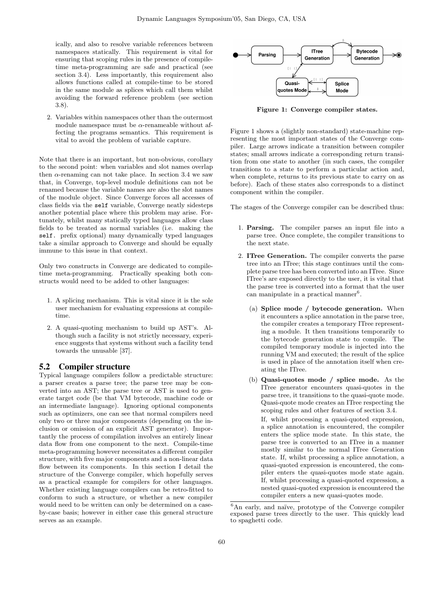ically, and also to resolve variable references between namespaces statically. This requirement is vital for ensuring that scoping rules in the presence of compiletime meta-programming are safe and practical (see section 3.4). Less importantly, this requirement also allows functions called at compile-time to be stored in the same module as splices which call them whilst avoiding the forward reference problem (see section 3.8).

2. Variables within namespaces other than the outermost module namespace must be  $\alpha$ -renameable without affecting the programs semantics. This requirement is vital to avoid the problem of variable capture.

Note that there is an important, but non-obvious, corollary to the second point: when variables and slot names overlap then  $\alpha$ -renaming can not take place. In section 3.4 we saw that, in Converge, top-level module definitions can not be renamed because the variable names are also the slot names of the module object. Since Converge forces all accesses of class fields via the self variable, Converge neatly sidesteps another potential place where this problem may arise. Fortunately, whilst many statically typed languages allow class fields to be treated as normal variables (i.e. making the self. prefix optional) many dynamically typed languages take a similar approach to Converge and should be equally immune to this issue in that context.

Only two constructs in Converge are dedicated to compiletime meta-programming. Practically speaking both constructs would need to be added to other languages:

- 1. A splicing mechanism. This is vital since it is the sole user mechanism for evaluating expressions at compiletime.
- 2. A quasi-quoting mechanism to build up AST's. Although such a facility is not strictly necessary, experience suggests that systems without such a facility tend towards the unusable [37].

#### 5.2 Compiler structure

Typical language compilers follow a predictable structure: a parser creates a parse tree; the parse tree may be converted into an AST; the parse tree or AST is used to generate target code (be that VM bytecode, machine code or an intermediate language). Ignoring optional components such as optimizers, one can see that normal compilers need only two or three major components (depending on the inclusion or omission of an explicit AST generator). Importantly the process of compilation involves an entirely linear data flow from one component to the next. Compile-time meta-programming however necessitates a different compiler structure, with five major components and a non-linear data flow between its components. In this section I detail the structure of the Converge compiler, which hopefully serves as a practical example for compilers for other languages. Whether existing language compilers can be retro-fitted to conform to such a structure, or whether a new compiler would need to be written can only be determined on a caseby-case basis; however in either case this general structure serves as an example.



Figure 1: Converge compiler states.

Figure 1 shows a (slightly non-standard) state-machine representing the most important states of the Converge compiler. Large arrows indicate a transition between compiler states; small arrows indicate a corresponding return transition from one state to another (in such cases, the compiler transitions to a state to perform a particular action and, when complete, returns to its previous state to carry on as before). Each of these states also corresponds to a distinct component within the compiler.

The stages of the Converge compiler can be described thus:

- 1. Parsing. The compiler parses an input file into a parse tree. Once complete, the compiler transitions to the next state.
- 2. ITree Generation. The compiler converts the parse tree into an ITree; this stage continues until the complete parse tree has been converted into an ITree. Since ITree's are exposed directly to the user, it is vital that the parse tree is converted into a format that the user can manipulate in a practical manner<sup>6</sup>.
	- (a) Splice mode / bytecode generation. When it encounters a splice annotation in the parse tree, the compiler creates a temporary ITree representing a module. It then transitions temporarily to the bytecode generation state to compile. The compiled temporary module is injected into the running VM and executed; the result of the splice is used in place of the annotation itself when creating the ITree.
	- (b) Quasi-quotes mode / splice mode. As the ITree generator encounters quasi-quotes in the parse tree, it transitions to the quasi-quote mode. Quasi-quote mode creates an ITree respecting the scoping rules and other features of section 3.4. If, whilst processing a quasi-quoted expression, a splice annotation is encountered, the compiler enters the splice mode state. In this state, the parse tree is converted to an ITree in a manner mostly similar to the normal ITree Generation state. If, whilst processing a splice annotation, a quasi-quoted expression is encountered, the compiler enters the quasi-quotes mode state again. If, whilst processing a quasi-quoted expression, a nested quasi-quoted expression is encountered the compiler enters a new quasi-quotes mode.

 ${}^{6}$ An early, and naïve, prototype of the Converge compiler exposed parse trees directly to the user. This quickly lead to spaghetti code.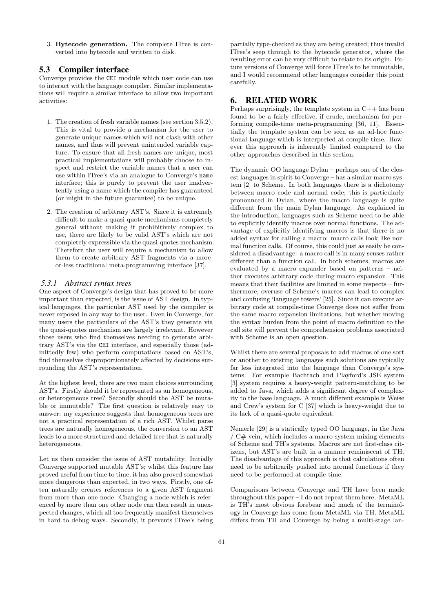3. Bytecode generation. The complete ITree is converted into bytecode and written to disk.

#### 5.3 Compiler interface

Converge provides the CEI module which user code can use to interact with the language compiler. Similar implementations will require a similar interface to allow two important activities:

- 1. The creation of fresh variable names (see section 3.5.2). This is vital to provide a mechanism for the user to generate unique names which will not clash with other names, and thus will prevent unintended variable capture. To ensure that all fresh names are unique, most practical implementations will probably choose to inspect and restrict the variable names that a user can use within ITree's via an analogue to Converge's name interface; this is purely to prevent the user inadvertently using a name which the compiler has guaranteed (or might in the future guarantee) to be unique.
- 2. The creation of arbitrary AST's. Since it is extremely difficult to make a quasi-quote mechanisms completely general without making it prohibitively complex to use, there are likely to be valid AST's which are not completely expressible via the quasi-quotes mechanism. Therefore the user will require a mechanism to allow them to create arbitrary AST fragments via a moreor-less traditional meta-programming interface [37].

#### *5.3.1 Abstract syntax trees*

One aspect of Converge's design that has proved to be more important than expected, is the issue of AST design. In typical languages, the particular AST used by the compiler is never exposed in any way to the user. Even in Converge, for many users the particulars of the AST's they generate via the quasi-quotes mechanism are largely irrelevant. However those users who find themselves needing to generate arbitrary AST's via the CEI interface, and especially those (admittedly few) who perform computations based on AST's, find themselves disproportionately affected by decisions surrounding the AST's representation.

At the highest level, there are two main choices surrounding AST's. Firstly should it be represented as an homogeneous, or heterogeneous tree? Secondly should the AST be mutable or immutable? The first question is relatively easy to answer: my experience suggests that homogeneous trees are not a practical representation of a rich AST. Whilst parse trees are naturally homogeneous, the conversion to an AST leads to a more structured and detailed tree that is naturally heterogeneous.

Let us then consider the issue of AST mutability. Initially Converge supported mutable AST's; whilst this feature has proved useful from time to time, it has also proved somewhat more dangerous than expected, in two ways. Firstly, one often naturally creates references to a given AST fragment from more than one node. Changing a node which is referenced by more than one other node can then result in unexpected changes, which all too frequently manifest themselves in hard to debug ways. Secondly, it prevents ITree's being

partially type-checked as they are being created; thus invalid ITree's seep through to the bytecode generator, where the resulting error can be very difficult to relate to its origin. Future versions of Converge will force ITree's to be immutable, and I would recommend other languages consider this point carefully.

## 6. RELATED WORK

Perhaps surprisingly, the template system in  $C_{++}$  has been found to be a fairly effective, if crude, mechanism for performing compile-time meta-programming [36, 11]. Essentially the template system can be seen as an ad-hoc functional language which is interpreted at compile-time. However this approach is inherently limited compared to the other approaches described in this section.

The dynamic OO language Dylan – perhaps one of the closest languages in spirit to Converge – has a similar macro system [2] to Scheme. In both languages there is a dichotomy between macro code and normal code; this is particularly pronounced in Dylan, where the macro language is quite different from the main Dylan language. As explained in the introduction, languages such as Scheme need to be able to explicitly identify macros over normal functions. The advantage of explicitly identifying macros is that there is no added syntax for calling a macro: macro calls look like normal function calls. Of course, this could just as easily be considered a disadvantage: a macro call is in many senses rather different than a function call. In both schemes, macros are evaluated by a macro expander based on patterns – neither executes arbitrary code during macro expansion. This means that their facilities are limited in some respects – furthermore, overuse of Scheme's macros can lead to complex and confusing 'language towers' [25]. Since it can execute arbitrary code at compile-time Converge does not suffer from the same macro expansion limitations, but whether moving the syntax burden from the point of macro definition to the call site will prevent the comprehension problems associated with Scheme is an open question.

Whilst there are several proposals to add macros of one sort or another to existing languages such solutions are typically far less integrated into the language than Converge's systems. For example Bachrach and Playford's JSE system [3] system requires a heavy-weight pattern-matching to be added to Java, which adds a significant degree of complexity to the base language. A much different example is Weise and Crew's system for C [37] which is heavy-weight due to its lack of a quasi-quote equivalent.

Nemerle [29] is a statically typed OO language, in the Java  $\angle$  C# vein, which includes a macro system mixing elements of Scheme and TH's systems. Macros are not first-class citizens, but AST's are built in a manner reminiscent of TH. The disadvantage of this approach is that calculations often need to be arbitrarily pushed into normal functions if they need to be performed at compile-time.

Comparisons between Converge and TH have been made throughout this paper – I do not repeat them here. MetaML is TH's most obvious forebear and much of the terminology in Converge has come from MetaML via TH. MetaML differs from TH and Converge by being a multi-stage lan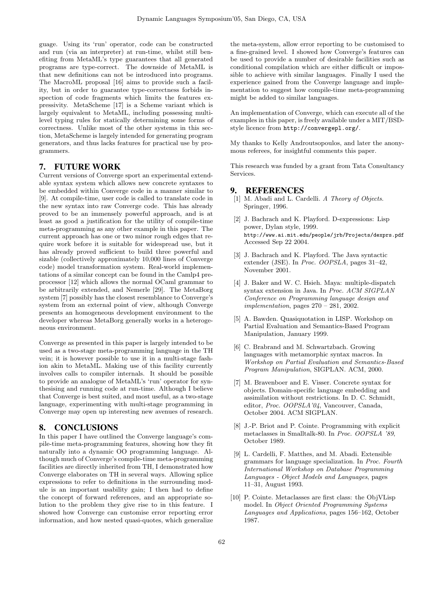guage. Using its 'run' operator, code can be constructed and run (via an interpreter) at run-time, whilst still benefiting from MetaML's type guarantees that all generated programs are type-correct. The downside of MetaML is that new definitions can not be introduced into programs. The MacroML proposal [16] aims to provide such a facility, but in order to guarantee type-correctness forbids inspection of code fragments which limits the features expressivity. MetaScheme [17] is a Scheme variant which is largely equivalent to MetaML, including possessing multilevel typing rules for statically determining some forms of correctness. Unlike most of the other systems in this section, MetaScheme is largely intended for generating program generators, and thus lacks features for practical use by programmers.

## 7. FUTURE WORK

Current versions of Converge sport an experimental extendable syntax system which allows new concrete syntaxes to be embedded within Converge code in a manner similar to [9]. At compile-time, user code is called to translate code in the new syntax into raw Converge code. This has already proved to be an immensely powerful approach, and is at least as good a justification for the utility of compile-time meta-programming as any other example in this paper. The current approach has one or two minor rough edges that require work before it is suitable for widespread use, but it has already proved sufficient to build three powerful and sizable (collectively approximately 10,000 lines of Converge code) model transformation system. Real-world implementations of a similar concept can be found in the Camlp4 preprocessor [12] which allows the normal OCaml grammar to be arbitrarily extended, and Nemerle [29]. The MetaBorg system [7] possibly has the closest resemblance to Converge's system from an external point of view, although Converge presents an homogeneous development environment to the developer whereas MetaBorg generally works in a heterogeneous environment.

Converge as presented in this paper is largely intended to be used as a two-stage meta-programming language in the TH vein; it is however possible to use it in a multi-stage fashion akin to MetaML. Making use of this facility currently involves calls to compiler internals. It should be possible to provide an analogue of MetaML's 'run' operator for synthesising and running code at run-time. Although I believe that Converge is best suited, and most useful, as a two-stage language, experimenting with multi-stage programming in Converge may open up interesting new avenues of research.

#### 8. CONCLUSIONS

In this paper I have outlined the Converge language's compile-time meta-programming features, showing how they fit naturally into a dynamic OO programming language. Although much of Converge's compile-time meta-programming facilities are directly inherited from TH, I demonstrated how Converge elaborates on TH in several ways. Allowing splice expressions to refer to definitions in the surrounding module is an important usability gain; I then had to define the concept of forward references, and an appropriate solution to the problem they give rise to in this feature. I showed how Converge can customise error reporting error information, and how nested quasi-quotes, which generalize

the meta-system, allow error reporting to be customised to a fine-grained level. I showed how Converge's features can be used to provide a number of desirable facilities such as conditional compilation which are either difficult or impossible to achieve with similar languages. Finally I used the experience gained from the Converge language and implementation to suggest how compile-time meta-programming might be added to similar languages.

An implementation of Converge, which can execute all of the examples in this paper, is freely available under a MIT/BSDstyle licence from http://convergepl.org/.

My thanks to Kelly Androutsopoulos, and later the anonymous referees, for insightful comments this paper.

This research was funded by a grant from Tata Consultancy Services.

#### 9. REFERENCES

- [1] M. Abadi and L. Cardelli. A Theory of Objects. Springer, 1996.
- [2] J. Bachrach and K. Playford. D-expressions: Lisp power, Dylan style, 1999. http://www.ai.mit.edu/people/jrb/Projects/dexprs.pdf Accessed Sep 22 2004.
- [3] J. Bachrach and K. Playford. The Java syntactic extender (JSE). In Proc. OOPSLA, pages 31–42, November 2001.
- [4] J. Baker and W. C. Hsieh. Maya: multiple-dispatch syntax extension in Java. In Proc. ACM SIGPLAN Conference on Programming language design and implementation, pages  $270 - 281$ ,  $2002$ .
- [5] A. Bawden. Quasiquotation in LISP. Workshop on Partial Evaluation and Semantics-Based Program Manipulation, January 1999.
- [6] C. Brabrand and M. Schwartzbach. Growing languages with metamorphic syntax macros. In Workshop on Partial Evaluation and Semantics-Based Program Manipulation, SIGPLAN. ACM, 2000.
- [7] M. Bravenboer and E. Visser. Concrete syntax for objects. Domain-specific language embedding and assimilation without restrictions. In D. C. Schmidt, editor, Proc. OOPSLA'04, Vancouver, Canada, October 2004. ACM SIGPLAN.
- [8] J.-P. Briot and P. Cointe. Programming with explicit metaclasses in Smalltalk-80. In Proc. OOPSLA '89, October 1989.
- [9] L. Cardelli, F. Matthes, and M. Abadi. Extensible grammars for language specialization. In Proc. Fourth International Workshop on Database Programming Languages - Object Models and Languages, pages 11–31, August 1993.
- [10] P. Cointe. Metaclasses are first class: the ObjVLisp model. In Object Oriented Programming Systems Languages and Applications, pages 156–162, October 1987.